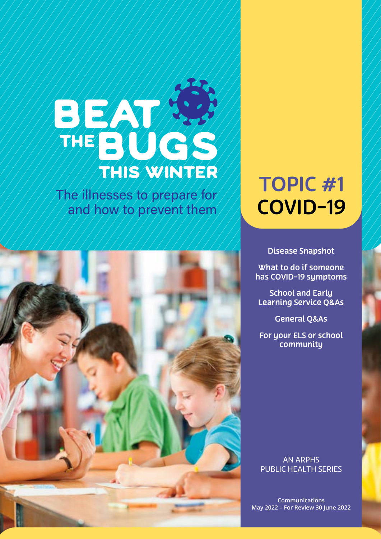# BEAN THE BUGS this winter

The illnesses to prepare for **COVID-19** 



# TOPIC #1

Disease [Snapshot](#page-1-0)

[What to do if someone](#page-3-0)  [has COVID-19 symptoms](#page-3-0)

[School and Early](#page-4-0)  [Learning Service Q&As](#page-4-0)

[General Q&As](#page-7-0)

[For your ELS or school](#page-13-0)  community

AN ARPHS PUBLIC HEALTH SERIES

**Communications May 2022 – For Review 30 June 2022**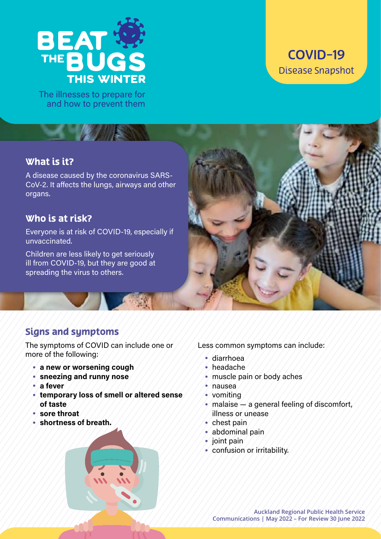<span id="page-1-0"></span>

The illnesses to prepare for and how to prevent them

# COVID-19 Disease Snapshot

# What is it?

A disease caused by the coronavirus SARS-CoV-2. It affects the lungs, airways and other organs.

### Who is at risk?

Everyone is at risk of COVID-19, especially if unvaccinated.

Children are less likely to get seriously ill from COVID-19, but they are good at spreading the virus to others.



# Signs and symptoms

The symptoms of COVID can include one or more of the following:

- **a new or worsening cough**
- **sneezing and runny nose**
- **a fever**
- **temporary loss of smell or altered sense of taste**
- **sore throat**
- **shortness of breath.**



Less common symptoms can include:

- diarrhoea
- headache
- muscle pain or body aches
- nausea
- $\bullet$  vomiting
- $\bullet$  malaise  $\rightarrow$  a general feeling of discomfort, illness or unease
- chest pain
- abdominal pain
- $\bullet$  joint pain
- confusion or irritability.

**Auckland Regional Public Health Service Communications | May 2022 – For Review 30 June 2022**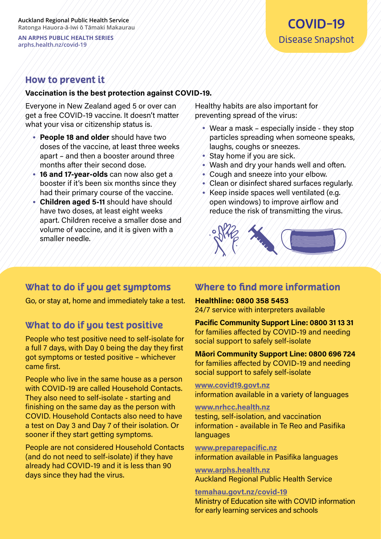# How to prevent it

#### **Vaccination is the best protection against COVID-19.**

Everyone in New Zealand aged 5 or over can get a free COVID-19 vaccine. It doesn't matter what your visa or citizenship status is.

- **People 18 and older** should have two doses of the vaccine, at least three weeks apart – and then a booster around three months after their second dose.
- **16 and 17-year-olds** can now also get a booster if it's been six months since they had their primary course of the vaccine.
- **Children aged 5-11** should have should have two doses, at least eight weeks apart. Children receive a smaller dose and volume of vaccine, and it is given with a smaller needle.

Healthy habits are also important for preventing spread of the virus:

- Wear a mask  $\neq$  especially inside they stop particles spreading when someone speaks, laughs, coughs or sneezes.
- Stay home if you are sick.
- Wash and dry your hands well and often.
- Cough and sneeze into your elbow.
- Clean or disinfect shared surfaces regularly.
- Keep inside spaces well ventilated (e.g. open windows) to improve airflow and reduce the risk of transmitting the virus.



# What to do if you get symptoms

Go, or stay at, home and immediately take a test.

# What to do if you test positive

People who test positive need to self-isolate for a full 7 days, with Day 0 being the day they first got symptoms or tested positive – whichever came first.

People who live in the same house as a person with COVID-19 are called Household Contacts. They also need to self-isolate - starting and finishing on the same day as the person with COVID. Household Contacts also need to have a test on Day 3 and Day 7 of their isolation. Or sooner if they start getting symptoms.

People are not considered Household Contacts (and do not need to self-isolate) if they have already had COVID-19 and it is less than 90 days since they had the virus.

# Where to find more information

#### **Healthline: 0800 358 5453**

24/7 service with interpreters available

**Pacific Community Support Line: 0800 31 13 31**  for families affected by COVID-19 and needing social support to safely self-isolate

**Māori Community Support Line: 0800 696 724**  for families affected by COVID-19 and needing social support to safely self-isolate

**[www.covid19.govt.nz](https://covid19.govt.nz/)**

information available in a variety of languages

#### **[www.nrhcc.health.nz](http://www.nrhcc.health.nz/)**

testing, self-isolation, and vaccination information - available in Te Reo and Pasifika languages

**[www.preparepacific.nz](http://www.preparepacific.nz/)** information available in Pasifika languages

**[www.arphs.health.nz](http://www.arphs.health.nz/)** Auckland Regional Public Health Service

**[temahau.govt.nz/covid-19](https://temahau.govt.nz/covid-19)** Ministry of Education site with COVID information for early learning services and schools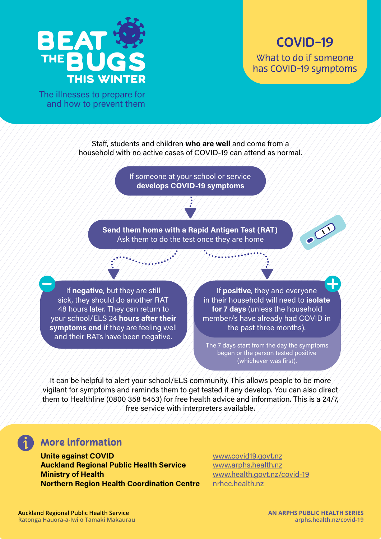<span id="page-3-0"></span>

SCI

The illnesses to prepare for and how to prevent them

> Staff, students and children **who are well** and come from a household with no active cases of COVID-19 can attend as normal.

> > If someone at your school or service **develops COVID-19 symptoms**

**Send them home with a Rapid Antigen Test (RAT)** Ask them to do the test once they are home

If **negative**, but they are still sick, they should do another RAT 48 hours later. They can return to your school/ELS 24 **hours after their symptoms end** if they are feeling well and their RATs have been negative.

If **positive**, they and everyone in their household will need to **isolate for 7 days** (unless the household member/s have already had COVID in the past three months).

The 7 days start from the day the symptoms began or the person tested positive (whichever was first).

It can be helpful to alert your school/ELS community. This allows people to be more vigilant for symptoms and reminds them to get tested if any develop. You can also direct them to Healthline (0800 358 5453) for free health advice and information. This is a 24/7, free service with interpreters available.

# More information

**Unite against COVID [www.covid19.govt.nz](https://covid19.govt.nz/) Auckland Regional Public Health Service Ware With Warphs.health.nz Ministry of Health** [www.health.govt.nz/covid-19](http://www.health.govt.nz/covid-19) **Northern Region Health Coordination Centre** [nrhcc.health.nz](https://nrhcc.health.nz/)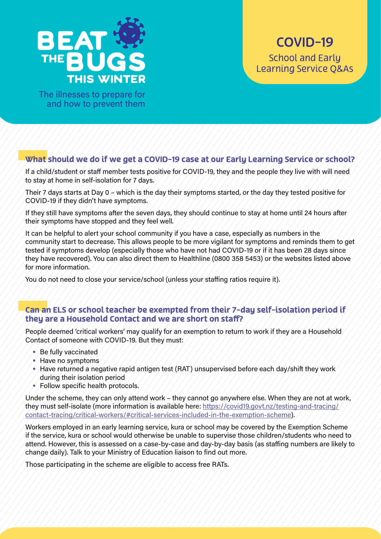<span id="page-4-0"></span>

The illnesses to prepare for and how to prevent them

#### What should we do if we get a COVID-19 case at our Early Learning Service or school?

If a child/student or staff member tests positive for COVID-19, they and the people they live with will need to stay at home in self-isolation for 7 days.

Their 7 days starts at Day 0 – which is the day their symptoms started, or the day they tested positive for COVID-19 if they didn't have symptoms.

If they still have symptoms after the seven days, they should continue to stay at home until 24 hours after their symptoms have stopped and they feel well.

It can be helpful to alert your school community if you have a case, especially as numbers in the community start to decrease. This allows people to be more vigilant for symptoms and reminds them to get tested if symptoms develop (especially those who have not had COVID-19 or if it has been 28 days since they have recovered). You can also direct them to Healthline (0800 358 5453) or the websites listed above for more information.

You do not need to close your service/school (unless your staffing ratios require it).

#### Can an ELS or school teacher be exempted from their 7-day self-isolation period if they are a Household Contact and we are short on staff?

People deemed 'critical workers' may qualify for an exemption to return to work if they are a Household Contact of someone with COVID-19. But they must:

- Be fully vaccinated
- Have no symptoms
- $\bullet$  Have returned a negative rapid antigen test (RAT) unsupervised before each day/shift they work during their isolation period
- Follow specific health protocols.

Under the scheme, they can only attend work – they cannot go anywhere else. When they are not at work, they must self-isolate (more information is available here: [https://covid19.govt.nz/testing-and-tracing/](https://covid19.govt.nz/testing-and-tracing/contact-tracing/critical-workers/#critical-services-included-in-the-exemption-scheme/) [contact-tracing/critical-workers/#critical-services-included-in-the-exemption-scheme\)](https://covid19.govt.nz/testing-and-tracing/contact-tracing/critical-workers/#critical-services-included-in-the-exemption-scheme/).

Workers employed in an early learning service, kura or school may be covered by the Exemption Scheme if the service, kura or school would otherwise be unable to supervise those children/students who need to attend. However, this is assessed on a case-by-case and day-by-day basis (as staffing numbers are likely to change daily). Talk to your Ministry of Education liaison to find out more.

Those participating in the scheme are eligible to access free RATs.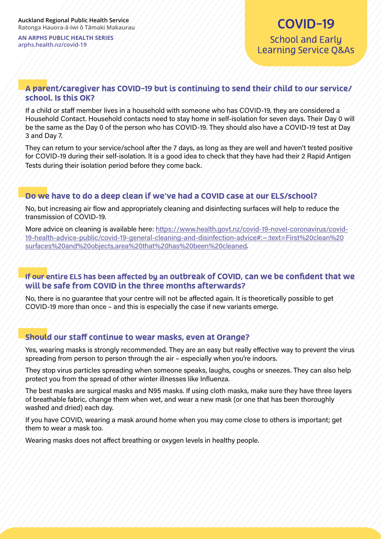# COVID-19 School and Early Learning Service Q&As

#### A parent/caregiver has COVID-19 but is continuing to send their child to our service/ school. Is this OK?

If a child or staff member lives in a household with someone who has COVID-19, they are considered a Household Contact. Household contacts need to stay home in self-isolation for seven days. Their Day 0 will be the same as the Day 0 of the person who has COVID-19. They should also have a COVID-19 test at Day 3 and Day 7.

They can return to your service/school after the 7 days, as long as they are well and haven't tested positive for COVID-19 during their self-isolation. It is a good idea to check that they have had their 2 Rapid Antigen Tests during their isolation period before they come back.

#### Do we have to do a deep clean if we've had a COVID case at our ELS/school?

No, but increasing air flow and appropriately cleaning and disinfecting surfaces will help to reduce the transmission of COVID-19.

More advice on cleaning is available here: [https://www.health.govt.nz/covid-19-novel-coronavirus/covid-](https://www.health.govt.nz/covid-19-novel-coronavirus/covid-19-health-advice-public/covid-19-general-cleaning-and-disinfection-advice#:~:text=First%20clean%20surfaces%20and%20objects,area%20that%20has%20been%20cleaned)[19-health-advice-public/covid-19-general-cleaning-and-disinfection-advice#:~:text=First%20clean%20](https://www.health.govt.nz/covid-19-novel-coronavirus/covid-19-health-advice-public/covid-19-general-cleaning-and-disinfection-advice#:~:text=First%20clean%20surfaces%20and%20objects,area%20that%20has%20been%20cleaned) [surfaces%20and%20objects,area%20that%20has%20been%20cleaned.](https://www.health.govt.nz/covid-19-novel-coronavirus/covid-19-health-advice-public/covid-19-general-cleaning-and-disinfection-advice#:~:text=First%20clean%20surfaces%20and%20objects,area%20that%20has%20been%20cleaned)

#### If our entire ELS has been affected by an outbreak of COVID, can we be confident that we will be safe from COVID in the three months afterwards?

No, there is no guarantee that your centre will not be affected again. It is theoretically possible to get COVID-19 more than once – and this is especially the case if new variants emerge.

#### Should our staff continue to wear masks, even at Orange?

Yes, wearing masks is strongly recommended. They are an easy but really effective way to prevent the virus spreading from person to person through the air – especially when you're indoors.

They stop virus particles spreading when someone speaks, laughs, coughs or sneezes. They can also help protect you from the spread of other winter illnesses like Influenza.

The best masks are surgical masks and N95 masks. If using cloth masks, make sure they have three layers of breathable fabric, change them when wet, and wear a new mask (or one that has been thoroughly washed and dried) each day.

If you have COVID, wearing a mask around home when you may come close to others is important; get them to wear a mask too.

Wearing masks does not affect breathing or oxygen levels in healthy people.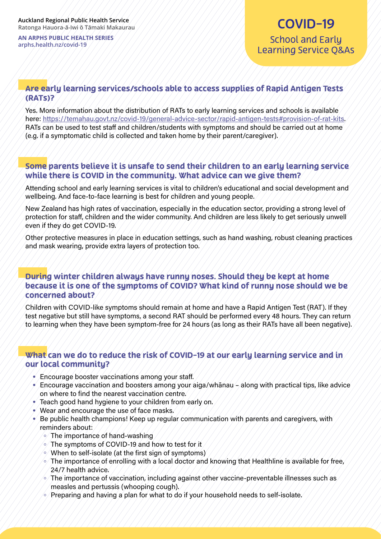# COVID-19 School and Early Learning Service Q&As

#### Are early learning services/schools able to access supplies of Rapid Antigen Tests (RATs)?

Yes. More information about the distribution of RATs to early learning services and schools is available here: <https://temahau.govt.nz/covid-19/general-advice-sector/rapid-antigen-tests#provision-of-rat-kits>. RATs can be used to test staff and children/students with symptoms and should be carried out at home (e.g. if a symptomatic child is collected and taken home by their parent/caregiver).

#### Some parents believe it is unsafe to send their children to an early learning service while there is COVID in the community. What advice can we give them?

Attending school and early learning services is vital to children's educational and social development and wellbeing. And face-to-face learning is best for children and young people.

New Zealand has high rates of vaccination, especially in the education sector, providing a strong level of protection for staff, children and the wider community. And children are less likely to get seriously unwell even if they do get COVID-19.

Other protective measures in place in education settings, such as hand washing, robust cleaning practices and mask wearing, provide extra layers of protection too.

#### During winter children always have runny noses. Should they be kept at home because it is one of the symptoms of COVID? What kind of runny nose should we be concerned about?

Children with COVID-like symptoms should remain at home and have a Rapid Antigen Test (RAT). If they test negative but still have symptoms, a second RAT should be performed every 48 hours. They can return to learning when they have been symptom-free for 24 hours (as long as their RATs have all been negative).

#### What can we do to reduce the risk of COVID-19 at our early learning service and in our local community?

- Encourage booster vaccinations among your staff.
- $\bullet$  Encourage vaccination and boosters among your aiga/whanau along with practical tips, like advice on where to find the nearest vaccination centre.
- Teach good hand hygiene to your children from early on.
- Wear and encourage the use of face masks.
- Be public health champions! Keep up regular communication with parents and caregivers, with reminders about:
	- $\sim$  The importance of hand-washing
	- $\sim$  The symptoms of COVID-19 and how to test for it
	- $\sim$  When to self-isolate (at the first sign of symptoms)
	- $\sim$  The importance of enrolling with a local doctor and knowing that Healthline is available for free, 24/7 health advice.
	- The importance of vaccination, including against other vaccine-preventable illnesses such as measles and pertussis (whooping cough).
	- Preparing and having a plan for what to do if your household needs to self-isolate.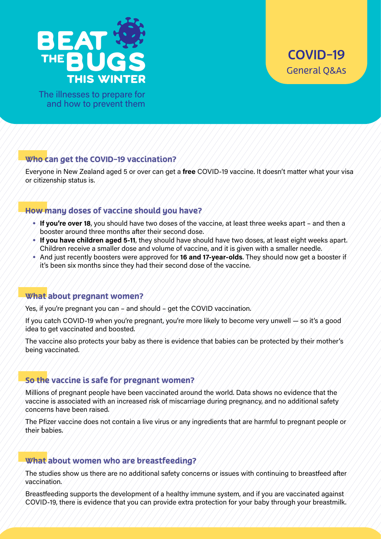<span id="page-7-0"></span>

The illnesses to prepare for and how to prevent them

#### Who can get the COVID-19 vaccination?

Everyone in New Zealand aged 5 or over can get a **free** COVID-19 vaccine. It doesn't matter what your visa or citizenship status is.

#### How many doses of vaccine should you have?

- **If you're over 18**, you should have two doses of the vaccine, at least three weeks apart and then a booster around three months after their second dose.
- **If you have children aged 5-11**, they should have should have two doses, at least eight weeks apart. Children receive a smaller dose and volume of vaccine, and it is given with a smaller needle.
- And just recently boosters were approved for **16 and 17-year-olds**. They should now get a booster if it's been six months since they had their second dose of the vaccine.

#### What about pregnant women?

Yes, if you're pregnant you can – and should – get the COVID vaccination.

If you catch COVID-19 when you're pregnant, you're more likely to become very unwell — so it's a good idea to get vaccinated and boosted.

The vaccine also protects your baby as there is evidence that babies can be protected by their mother's being vaccinated.

#### So the vaccine is safe for pregnant women?

Millions of pregnant people have been vaccinated around the world. Data shows no evidence that the vaccine is associated with an increased risk of miscarriage during pregnancy, and no additional safety concerns have been raised.

The Pfizer vaccine does not contain a live virus or any ingredients that are harmful to pregnant people or their babies.

#### What about women who are breastfeeding?

The studies show us there are no additional safety concerns or issues with continuing to breastfeed after vaccination.

Breastfeeding supports the development of a healthy immune system, and if you are vaccinated against COVID-19, there is evidence that you can provide extra protection for your baby through your breastmilk.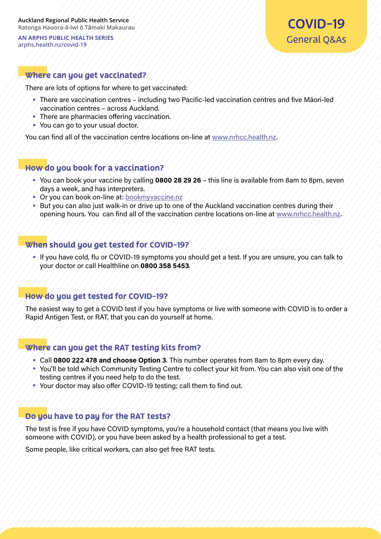#### Where can you get vaccinated?

There are lots of options for where to get vaccinated:

- There are vaccination centres including two Pacific-led vaccination centres and five Māori-led vaccination centres – across Auckland.
- There are pharmacies offering vaccination.
- You can go to your usual doctor.

You can find all of the vaccination centre locations on-line at [www.nrhcc.health.nz.](http://www.nrhcc.health.nz/)

#### How do you book for a vaccination?

- You can book your vaccine by calling **0800 28 29 26** this line is available from 8am to 8pm, seven days a week, and has interpreters.
- Or you can book on-line at: [bookmyvaccine.nz](https://bookmyvaccine.covid19.health.nz/)
- But you can also just walk-in or drive up to one of the Auckland vaccination centres during their opening hours. You can find all of the vaccination centre locations on-line at [www.nrhcc.health.nz](http://www.nrhcc.health.nz/).

#### When should you get tested for COVID-19?

• If you have cold, flu or COVID-19 symptoms you should get a test. If you are unsure, you can talk to your doctor or call Healthline on **0800 358 5453**.

#### How do you get tested for COVID-19?

The easiest way to get a COVID test if you have symptoms or live with someone with COVID is to order a Rapid Antigen Test, or RAT, that you can do yourself at home.

#### Where can you get the RAT testing kits from?

- Call **0800 222 478 and choose Option 3**. This number operates from 8am to 8pm every day.
- You'll be told which Community Testing Centre to collect your kit from. You can also visit one of the testing centres if you need help to do the test.
- Your doctor may also offer COVID-19 testing; call them to find out.

#### Do you have to pay for the RAT tests?

The test is free if you have COVID symptoms, you're a household contact (that means you live with someone with COVID), or you have been asked by a health professional to get a test.

Some people, like critical workers, can also get free RAT tests.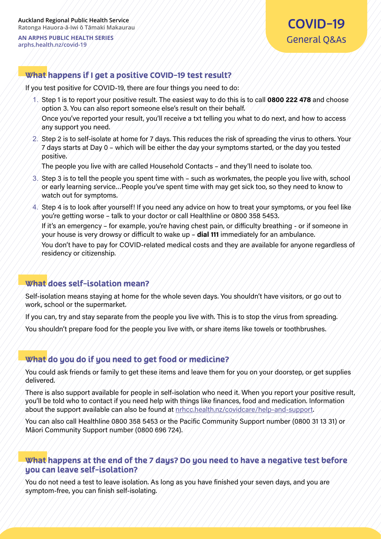#### What happens if I get a positive COVID-19 test result?

If you test positive for COVID-19, there are four things you need to do:

1. Step 1 is to report your positive result. The easiest way to do this is to call **0800 222 478** and choose option 3. You can also report someone else's result on their behalf.

Once you've reported your result, you'll receive a txt telling you what to do next, and how to access any support you need.

2. Step 2 is to self-isolate at home for 7 days. This reduces the risk of spreading the virus to others. Your 7 days starts at Day 0 – which will be either the day your symptoms started, or the day you tested positive.

The people you live with are called Household Contacts – and they'll need to isolate too.

- 3. Step 3 is to tell the people you spent time with such as workmates, the people you live with, school or early learning service…People you've spent time with may get sick too, so they need to know to watch out for symptoms.
- 4. Step 4 is to look after yourself! If you need any advice on how to treat your symptoms, or you feel like you're getting worse – talk to your doctor or call Healthline or 0800 358 5453. If it's an emergency – for example, you're having chest pain, or difficulty breathing - or if someone in your house is very drowsy or difficult to wake up – **dial 111** immediately for an ambulance. You don't have to pay for COVID-related medical costs and they are available for anyone regardless of residency or citizenship.

#### What does self-isolation mean?

Self-isolation means staying at home for the whole seven days. You shouldn't have visitors, or go out to work, school or the supermarket.

If you can, try and stay separate from the people you live with. This is to stop the virus from spreading.

You shouldn't prepare food for the people you live with, or share items like towels or toothbrushes.

#### What do you do if you need to get food or medicine?

You could ask friends or family to get these items and leave them for you on your doorstep, or get supplies delivered.

There is also support available for people in self-isolation who need it. When you report your positive result, you'll be told who to contact if you need help with things like finances, food and medication. Information about the support available can also be found at [nrhcc.health.nz/covidcare/help-and-support](https://nrhcc.health.nz/covidcare/help-and-support/).

You can also call Healthline 0800 358 5453 or the Pacific Community Support number (0800 31 13 31) or Māori Community Support number (0800 696 724).

#### What happens at the end of the 7 days? Do you need to have a negative test before you can leave self-isolation?

You do not need a test to leave isolation. As long as you have finished your seven days, and you are symptom-free, you can finish self-isolating.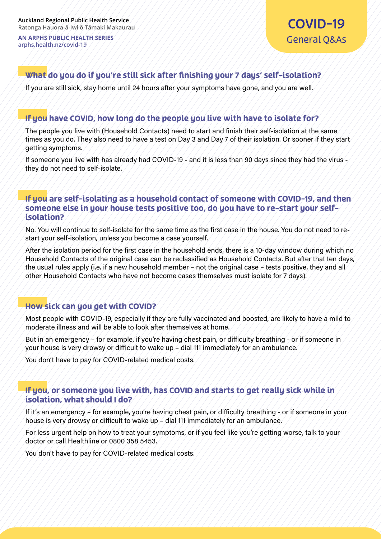#### What do you do if you're still sick after finishing your 7 days' self-isolation?

If you are still sick, stay home until 24 hours after your symptoms have gone, and you are well.

#### If you have COVID, how long do the people you live with have to isolate for?

The people you live with (Household Contacts) need to start and finish their self-isolation at the same times as you do. They also need to have a test on Day 3 and Day 7 of their isolation. Or sooner if they start getting symptoms.

If someone you live with has already had COVID-19 - and it is less than 90 days since they had the virus they do not need to self-isolate.

#### If you are self-isolating as a household contact of someone with COVID-19, and then someone else in your house tests positive too, do you have to re-start your selfisolation?

No. You will continue to self-isolate for the same time as the first case in the house. You do not need to restart your self-isolation, unless you become a case yourself.

After the isolation period for the first case in the household ends, there is a 10-day window during which no Household Contacts of the original case can be reclassified as Household Contacts. But after that ten days, the usual rules apply (i.e. if a new household member – not the original case – tests positive, they and all other Household Contacts who have not become cases themselves must isolate for 7 days).

#### How sick can you get with COVID?

Most people with COVID-19, especially if they are fully vaccinated and boosted, are likely to have a mild to moderate illness and will be able to look after themselves at home.

But in an emergency – for example, if you're having chest pain, or difficulty breathing - or if someone in your house is very drowsy or difficult to wake up – dial 111 immediately for an ambulance.

You don't have to pay for COVID-related medical costs.

#### If you, or someone you live with, has COVID and starts to get really sick while in isolation, what should I do?

If it's an emergency – for example, you're having chest pain, or difficulty breathing - or if someone in your house is very drowsy or difficult to wake up – dial 111 immediately for an ambulance.

For less urgent help on how to treat your symptoms, or if you feel like you're getting worse, talk to your doctor or call Healthline or 0800 358 5453.

You don't have to pay for COVID-related medical costs.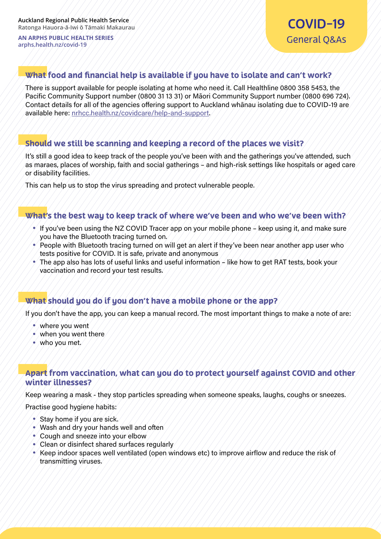#### What food and financial help is available if you have to isolate and can't work?

There is support available for people isolating at home who need it. Call Healthline 0800 358 5453, the Pacific Community Support number (0800 31 13 31) or Māori Community Support number (0800 696 724). Contact details for all of the agencies offering support to Auckland whānau isolating due to COVID-19 are available here: [nrhcc.health.nz/covidcare/help-and-support.](https://nrhcc.health.nz/covidcare/help-and-support/)

#### Should we still be scanning and keeping a record of the places we visit?

It's still a good idea to keep track of the people you've been with and the gatherings you've attended, such as maraes, places of worship, faith and social gatherings – and high-risk settings like hospitals or aged care or disability facilities.

This can help us to stop the virus spreading and protect vulnerable people.

#### What's the best way to keep track of where we've been and who we've been with?

- If you've been using the NZ COVID Tracer app on your mobile phone keep using it, and make sure you have the Bluetooth tracing turned on.
- People with Bluetooth tracing turned on will get an alert if they've been near another app user who tests positive for COVID. It is safe, private and anonymous
- $\bullet$  The app also has lots of useful links and useful information like how to get RAT tests, book your vaccination and record your test results.

#### What should you do if you don't have a mobile phone or the app?

If you don't have the app, you can keep a manual record. The most important things to make a note of are:

- where you went
- $\bullet$  when you went there.
- who you met.

#### Apart from vaccination, what can you do to protect yourself against COVID and other winter illnesses?

Keep wearing a mask - they stop particles spreading when someone speaks, laughs, coughs or sneezes.

Practise good hygiene habits:

- Stay home if you are sick.
- Wash and dry your hands well and often
- Cough and sneeze into your elbow
- Clean or disinfect shared surfaces regularly
- Keep indoor spaces well ventilated (open windows etc) to improve airflow and reduce the risk of transmitting viruses.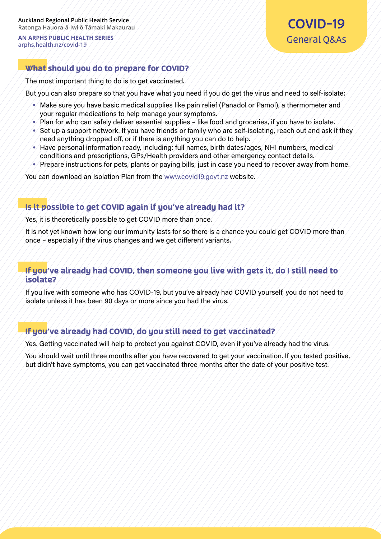#### What should you do to prepare for COVID?

The most important thing to do is to get vaccinated.

But you can also prepare so that you have what you need if you do get the virus and need to self-isolate:

- Make sure you have basic medical supplies like pain relief (Panadol or Pamol), a thermometer and your regular medications to help manage your symptoms.
- Plan for who can safely deliver essential supplies like food and groceries, if you have to isolate.
- Set up a support network. If you have friends or family who are self-isolating, reach out and ask if they need anything dropped off, or if there is anything you can do to help.
- Have personal information ready, including: full names, birth dates/ages, NHI numbers, medical conditions and prescriptions, GPs/Health providers and other emergency contact details.
- Prepare instructions for pets, plants or paying bills, just in case you need to recover away from home.

You can download an Isolation Plan from the [www.covid19.govt.nz](https://covid19.govt.nz/) website.

#### Is it possible to get COVID again if you've already had it?

Yes, it is theoretically possible to get COVID more than once.

It is not yet known how long our immunity lasts for so there is a chance you could get COVID more than once – especially if the virus changes and we get different variants.

#### If you've already had COVID, then someone you live with gets it, do I still need to isolate?

If you live with someone who has COVID-19, but you've already had COVID yourself, you do not need to isolate unless it has been 90 days or more since you had the virus.

#### If you've already had COVID, do you still need to get vaccinated?

Yes. Getting vaccinated will help to protect you against COVID, even if you've already had the virus.

You should wait until three months after you have recovered to get your vaccination. If you tested positive, but didn't have symptoms, you can get vaccinated three months after the date of your positive test.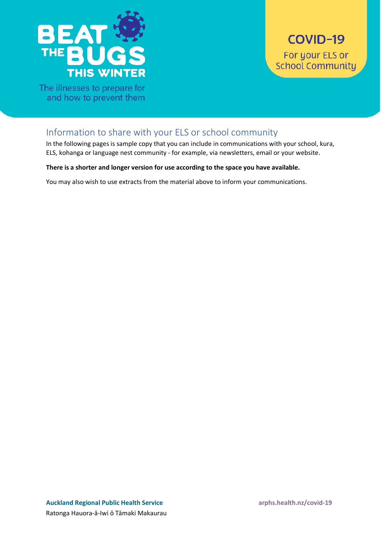<span id="page-13-0"></span>

The illnesses to prepare for and how to prevent them

# Information to share with your ELS or school community

In the following pages is sample copy that you can include in communications with your school, kura, ELS, kohanga or language nest community - for example, via newsletters, email or your website.

#### **There is a shorter and longer version for use according to the space you have available.**

You may also wish to use extracts from the material above to inform your communications.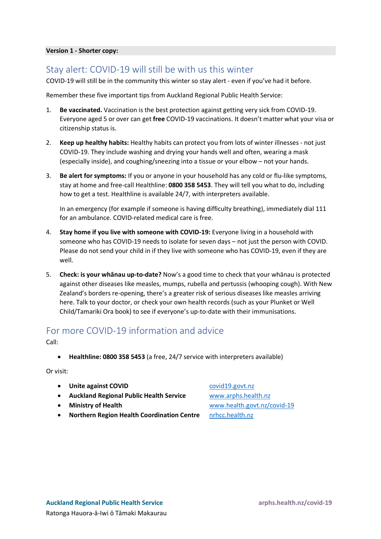#### **Version 1 - Shorter copy:**

#### Stay alert: COVID-19 will still be with us this winter

COVID-19 will still be in the community this winter so stay alert - even if you've had it before.

Remember these five important tips from Auckland Regional Public Health Service:

- 1. **Be vaccinated.** Vaccination is the best protection against getting very sick from COVID-19. Everyone aged 5 or over can get **free** COVID-19 vaccinations. It doesn't matter what your visa or citizenship status is.
- 2. **Keep up healthy habits:** Healthy habits can protect you from lots of winter illnesses not just COVID-19. They include washing and drying your hands well and often, wearing a mask (especially inside), and coughing/sneezing into a tissue or your elbow – not your hands.
- 3. **Be alert for symptoms:** If you or anyone in your household has any cold or flu-like symptoms, stay at home and free-call Healthline: **0800 358 5453**. They will tell you what to do, including how to get a test. Healthline is available 24/7, with interpreters available.

In an emergency (for example if someone is having difficulty breathing), immediately dial 111 for an ambulance. COVID-related medical care is free.

- 4. **Stay home if you live with someone with COVID-19:** Everyone living in a household with someone who has COVID-19 needs to isolate for seven days – not just the person with COVID. Please do not send your child in if they live with someone who has COVID-19, even if they are well.
- 5. **Check: is your whānau up-to-date?** Now's a good time to check that your whānau is protected against other diseases like measles, mumps, rubella and pertussis (whooping cough). With New Zealand's borders re-opening, there's a greater risk of serious diseases like measles arriving here. Talk to your doctor, or check your own health records (such as your Plunket or Well Child/Tamariki Ora book) to see if everyone's up-to-date with their immunisations.

# For more COVID-19 information and advice

Call:

• **Healthline: 0800 358 5453** (a free, 24/7 service with interpreters available)

Or visit:

- **Unite against COVID** [covid19.govt.nz](https://covid19.govt.nz/)
- **Auckland Regional Public Health Service** [www.arphs.health.nz](http://www.arphs.health.nz/)
- 
- **Northern Region Health Coordination Centre** [nrhcc.health.nz](https://nrhcc.health.nz/)

• **Ministry of Health** [www.health.govt.nz/covid](http://www.health.govt.nz/covid-19)-19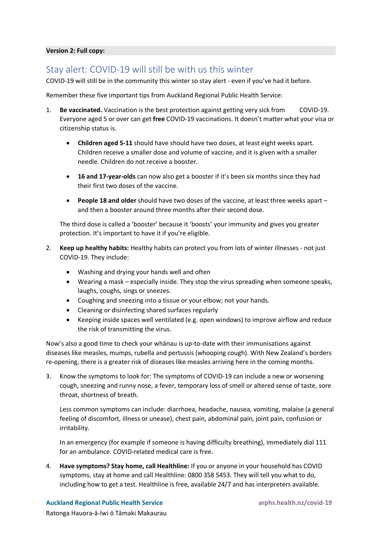#### **Version 2: Full copy:**

#### Stay alert: COVID-19 will still be with us this winter

COVID-19 will still be in the community this winter so stay alert - even if you've had it before.

Remember these five important tips from Auckland Regional Public Health Service:

- 1. **Be vaccinated.** Vaccination is the best protection against getting very sick from COVID-19. Everyone aged 5 or over can get **free** COVID-19 vaccinations. It doesn't matter what your visa or citizenship status is.
	- **Children aged 5-11** should have should have two doses, at least eight weeks apart. Children receive a smaller dose and volume of vaccine, and it is given with a smaller needle. Children do not receive a booster.
	- **16 and 17-year-olds** can now also get a booster if it's been six months since they had their first two doses of the vaccine.
	- **People 18 and older** should have two doses of the vaccine, at least three weeks apart and then a booster around three months after their second dose.

The third dose is called a 'booster' because it 'boosts' your immunity and gives you greater protection. It's important to have it if you're eligible.

- 2. **Keep up healthy habits:** Healthy habits can protect you from lots of winter illnesses not just COVID-19. They include:
	- Washing and drying your hands well and often
	- Wearing a mask especially inside. They stop the virus spreading when someone speaks, laughs, coughs, sings or sneezes.
	- Coughing and sneezing into a tissue or your elbow; not your hands.
	- Cleaning or disinfecting shared surfaces regularly
	- Keeping inside spaces well ventilated (e.g. open windows) to improve airflow and reduce the risk of transmitting the virus.

Now's also a good time to check your whānau is up-to-date with their immunisations against diseases like measles, mumps, rubella and pertussis (whooping cough). With New Zealand's borders re-opening, there is a greater risk of diseases like measles arriving here in the coming months.

3. Know the symptoms to look for: The symptoms of COVID-19 can include a new or worsening cough, sneezing and runny nose, a fever, temporary loss of smell or altered sense of taste, sore throat, shortness of breath.

Less common symptoms can include: diarrhoea, headache, nausea, vomiting, malaise (a general feeling of discomfort, illness or unease), chest pain, abdominal pain, joint pain, confusion or irritability.

In an emergency (for example if someone is having difficulty breathing), immediately dial 111 for an ambulance. COVID-related medical care is free.

4. **Have symptoms? Stay home, call Healthline:** If you or anyone in your household has COVID symptoms, stay at home and call Healthline: 0800 358 5453. They will tell you what to do, including how to get a test. Healthline is free, available 24/7 and has interpreters available.

Ratonga Hauora-ā-Iwi ō Tāmaki Makaurau